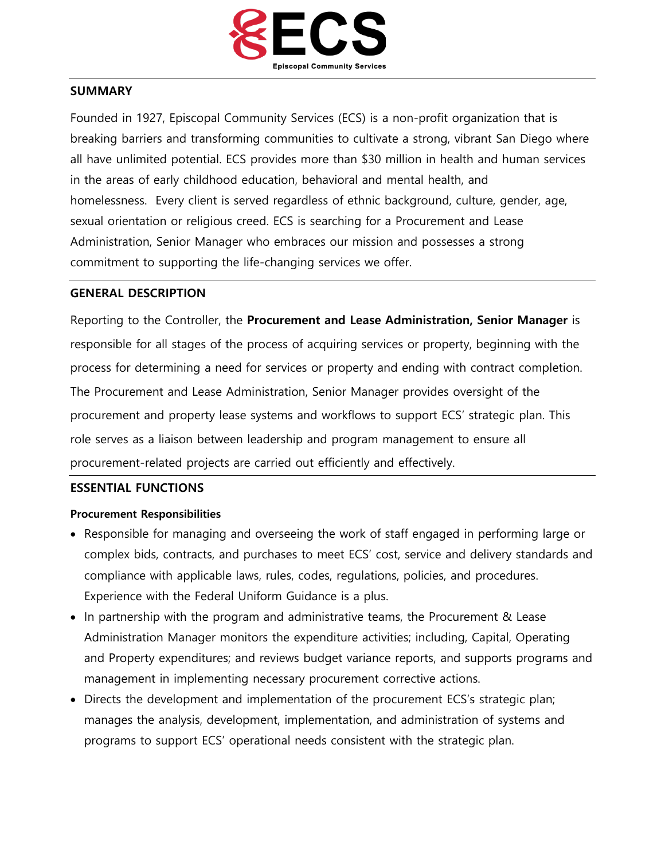

### **SUMMARY**

Founded in 1927, Episcopal Community Services (ECS) is a non-profit organization that is breaking barriers and transforming communities to cultivate a strong, vibrant San Diego where all have unlimited potential. ECS provides more than \$30 million in health and human services in the areas of early childhood education, behavioral and mental health, and homelessness. Every client is served regardless of ethnic background, culture, gender, age, sexual orientation or religious creed. ECS is searching for a Procurement and Lease Administration, Senior Manager who embraces our mission and possesses a strong commitment to supporting the life-changing services we offer.

### **GENERAL DESCRIPTION**

Reporting to the Controller, the **Procurement and Lease Administration, Senior Manager** is responsible for all stages of the process of acquiring services or property, beginning with the process for determining a need for services or property and ending with contract completion. The Procurement and Lease Administration, Senior Manager provides oversight of the procurement and property lease systems and workflows to support ECS' strategic plan. This role serves as a liaison between leadership and program management to ensure all procurement-related projects are carried out efficiently and effectively.

#### **ESSENTIAL FUNCTIONS**

#### **Procurement Responsibilities**

- Responsible for managing and overseeing the work of staff engaged in performing large or complex bids, contracts, and purchases to meet ECS' cost, service and delivery standards and compliance with applicable laws, rules, codes, regulations, policies, and procedures. Experience with the Federal Uniform Guidance is a plus.
- In partnership with the program and administrative teams, the Procurement & Lease Administration Manager monitors the expenditure activities; including, Capital, Operating and Property expenditures; and reviews budget variance reports, and supports programs and management in implementing necessary procurement corrective actions.
- Directs the development and implementation of the procurement ECS's strategic plan; manages the analysis, development, implementation, and administration of systems and programs to support ECS' operational needs consistent with the strategic plan.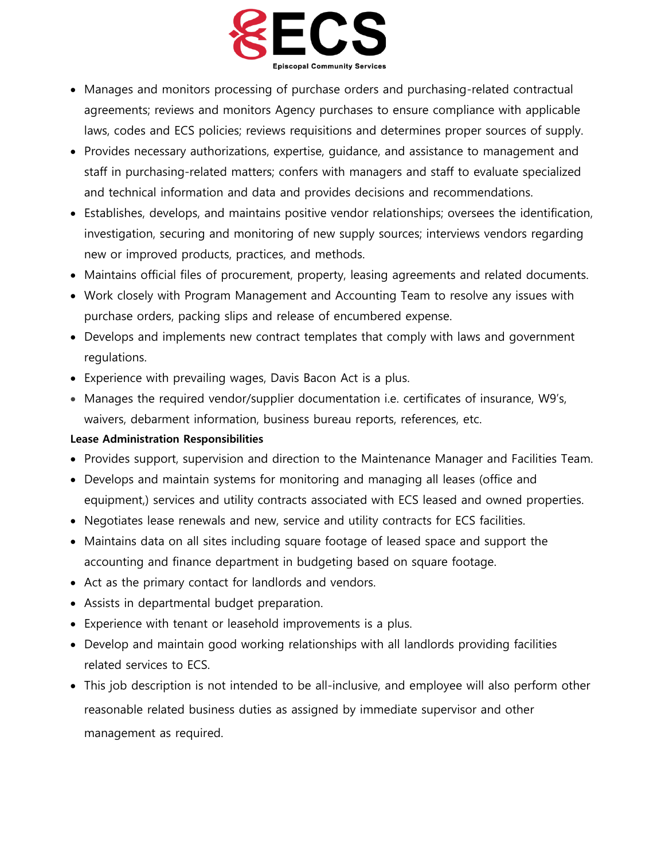

- Manages and monitors processing of purchase orders and purchasing-related contractual agreements; reviews and monitors Agency purchases to ensure compliance with applicable laws, codes and ECS policies; reviews requisitions and determines proper sources of supply.
- Provides necessary authorizations, expertise, guidance, and assistance to management and staff in purchasing-related matters; confers with managers and staff to evaluate specialized and technical information and data and provides decisions and recommendations.
- Establishes, develops, and maintains positive vendor relationships; oversees the identification, investigation, securing and monitoring of new supply sources; interviews vendors regarding new or improved products, practices, and methods.
- Maintains official files of procurement, property, leasing agreements and related documents.
- Work closely with Program Management and Accounting Team to resolve any issues with purchase orders, packing slips and release of encumbered expense.
- Develops and implements new contract templates that comply with laws and government regulations.
- Experience with prevailing wages, Davis Bacon Act is a plus.
- Manages the required vendor/supplier documentation i.e. certificates of insurance, W9's, waivers, debarment information, business bureau reports, references, etc.

# **Lease Administration Responsibilities**

- Provides support, supervision and direction to the Maintenance Manager and Facilities Team.
- Develops and maintain systems for monitoring and managing all leases (office and equipment,) services and utility contracts associated with ECS leased and owned properties.
- Negotiates lease renewals and new, service and utility contracts for ECS facilities.
- Maintains data on all sites including square footage of leased space and support the accounting and finance department in budgeting based on square footage.
- Act as the primary contact for landlords and vendors.
- Assists in departmental budget preparation.
- Experience with tenant or leasehold improvements is a plus.
- Develop and maintain good working relationships with all landlords providing facilities related services to ECS.
- This job description is not intended to be all-inclusive, and employee will also perform other reasonable related business duties as assigned by immediate supervisor and other management as required.